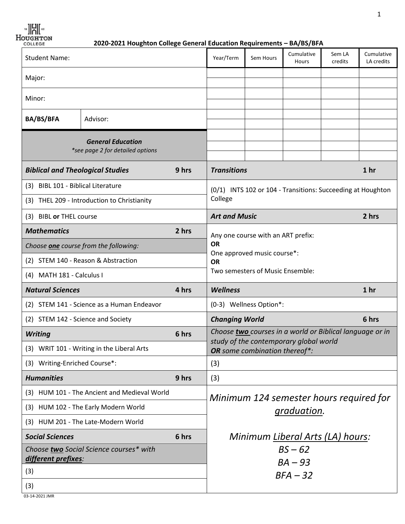**B**  $\Big|$  83

*Houghton 2020-2021**Houghton College General Education Requirements – BA/BS/BFA* 

| <b>Student Name:</b>                                           |                                                              | Year/Term   | Sem Hours                                                   | Cumulative<br>Hours           | Sem LA<br>credits                                        | Cumulative<br>LA credits |                 |
|----------------------------------------------------------------|--------------------------------------------------------------|-------------|-------------------------------------------------------------|-------------------------------|----------------------------------------------------------|--------------------------|-----------------|
| Major:                                                         |                                                              |             |                                                             |                               |                                                          |                          |                 |
| Minor:                                                         |                                                              |             |                                                             |                               |                                                          |                          |                 |
|                                                                |                                                              |             |                                                             |                               |                                                          |                          |                 |
| <b>BA/BS/BFA</b>                                               | Advisor:                                                     |             |                                                             |                               |                                                          |                          |                 |
|                                                                | <b>General Education</b><br>*see page 2 for detailed options |             |                                                             |                               |                                                          |                          |                 |
| <b>Biblical and Theological Studies</b>                        |                                                              | 9 hrs       | <b>Transitions</b>                                          |                               |                                                          |                          | 1 <sub>hr</sub> |
| (3) BIBL 101 - Biblical Literature                             |                                                              |             | (0/1) INTS 102 or 104 - Transitions: Succeeding at Houghton |                               |                                                          |                          |                 |
|                                                                | (3) THEL 209 - Introduction to Christianity                  |             | College                                                     |                               |                                                          |                          |                 |
| (3) BIBL or THEL course                                        |                                                              |             | <b>Art and Music</b>                                        |                               | 2 hrs                                                    |                          |                 |
| <b>Mathematics</b>                                             | 2 hrs<br>Any one course with an ART prefix:                  |             |                                                             |                               |                                                          |                          |                 |
|                                                                | Choose one course from the following:                        |             | <b>OR</b>                                                   |                               |                                                          |                          |                 |
|                                                                | (2) STEM 140 - Reason & Abstraction                          |             | One approved music course*:<br><b>OR</b>                    |                               |                                                          |                          |                 |
| (4) MATH 181 - Calculus I                                      |                                                              |             | Two semesters of Music Ensemble:                            |                               |                                                          |                          |                 |
| <b>Natural Sciences</b>                                        |                                                              | 4 hrs       | <b>Wellness</b>                                             |                               |                                                          |                          | 1 <sub>hr</sub> |
|                                                                | (2) STEM 141 - Science as a Human Endeavor                   |             |                                                             | (0-3) Wellness Option*:       |                                                          |                          |                 |
| (2) STEM 142 - Science and Society                             |                                                              |             | <b>Changing World</b>                                       |                               |                                                          | 6 hrs                    |                 |
| <b>Writing</b>                                                 |                                                              | 6 hrs       |                                                             |                               | Choose two courses in a world or Biblical language or in |                          |                 |
| (3) WRIT 101 - Writing in the Liberal Arts                     |                                                              |             |                                                             | OR some combination thereof*: | study of the contemporary global world                   |                          |                 |
| (3) Writing-Enriched Course*:                                  |                                                              |             | (3)                                                         |                               |                                                          |                          |                 |
| <b>Humanities</b>                                              |                                                              | 9 hrs       | (3)                                                         |                               |                                                          |                          |                 |
| (3) HUM 101 - The Ancient and Medieval World                   |                                                              |             | Minimum 124 semester hours required for                     |                               |                                                          |                          |                 |
| (3) HUM 102 - The Early Modern World                           |                                                              | graduation. |                                                             |                               |                                                          |                          |                 |
| (3) HUM 201 - The Late-Modern World                            |                                                              |             |                                                             |                               |                                                          |                          |                 |
| <b>Social Sciences</b><br>6 hrs                                |                                                              |             | Minimum Liberal Arts (LA) hours:                            |                               |                                                          |                          |                 |
| Choose two Social Science courses* with<br>different prefixes: |                                                              | $BS - 62$   |                                                             |                               |                                                          |                          |                 |
| (3)                                                            |                                                              |             | $BA - 93$<br>$BFA-32$                                       |                               |                                                          |                          |                 |
|                                                                |                                                              |             |                                                             |                               |                                                          |                          |                 |